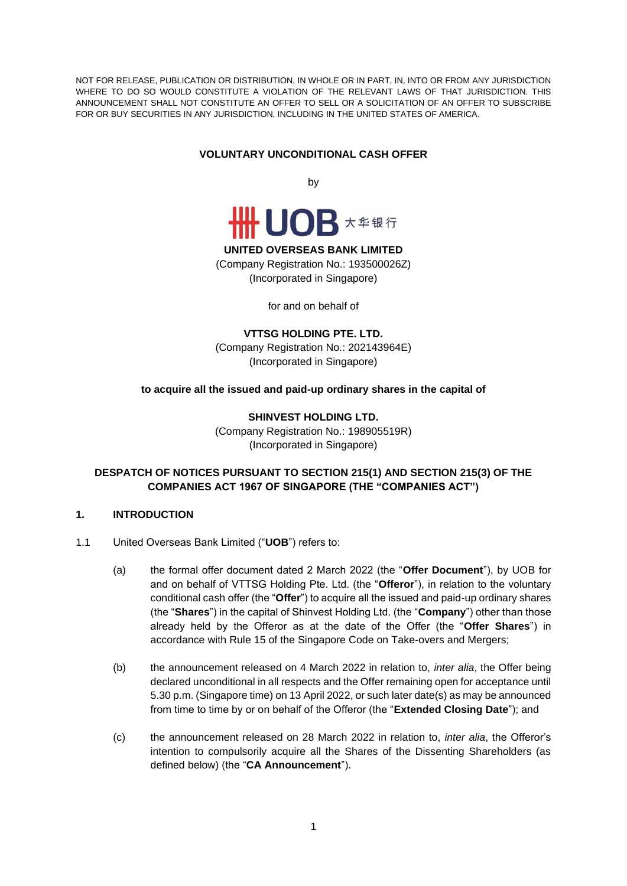NOT FOR RELEASE, PUBLICATION OR DISTRIBUTION, IN WHOLE OR IN PART, IN, INTO OR FROM ANY JURISDICTION WHERE TO DO SO WOULD CONSTITUTE A VIOLATION OF THE RELEVANT LAWS OF THAT JURISDICTION. THIS ANNOUNCEMENT SHALL NOT CONSTITUTE AN OFFER TO SELL OR A SOLICITATION OF AN OFFER TO SUBSCRIBE FOR OR BUY SECURITIES IN ANY JURISDICTION, INCLUDING IN THE UNITED STATES OF AMERICA.

## **VOLUNTARY UNCONDITIONAL CASH OFFER**

by



#### **UNITED OVERSEAS BANK LIMITED**

(Company Registration No.: 193500026Z) (Incorporated in Singapore)

for and on behalf of

**VTTSG HOLDING PTE. LTD.**

(Company Registration No.: 202143964E) (Incorporated in Singapore)

### **to acquire all the issued and paid-up ordinary shares in the capital of**

**SHINVEST HOLDING LTD.** (Company Registration No.: 198905519R) (Incorporated in Singapore)

## **DESPATCH OF NOTICES PURSUANT TO SECTION 215(1) AND SECTION 215(3) OF THE COMPANIES ACT 1967 OF SINGAPORE (THE "COMPANIES ACT")**

### **1. INTRODUCTION**

- 1.1 United Overseas Bank Limited ("**UOB**") refers to:
	- (a) the formal offer document dated 2 March 2022 (the "**Offer Document**"), by UOB for and on behalf of VTTSG Holding Pte. Ltd. (the "**Offeror**"), in relation to the voluntary conditional cash offer (the "**Offer**") to acquire all the issued and paid-up ordinary shares (the "**Shares**") in the capital of Shinvest Holding Ltd. (the "**Company**") other than those already held by the Offeror as at the date of the Offer (the "**Offer Shares**") in accordance with Rule 15 of the Singapore Code on Take-overs and Mergers;
	- (b) the announcement released on 4 March 2022 in relation to, *inter alia*, the Offer being declared unconditional in all respects and the Offer remaining open for acceptance until 5.30 p.m. (Singapore time) on 13 April 2022, or such later date(s) as may be announced from time to time by or on behalf of the Offeror (the "**Extended Closing Date**"); and
	- (c) the announcement released on 28 March 2022 in relation to, *inter alia*, the Offeror's intention to compulsorily acquire all the Shares of the Dissenting Shareholders (as defined below) (the "**CA Announcement**").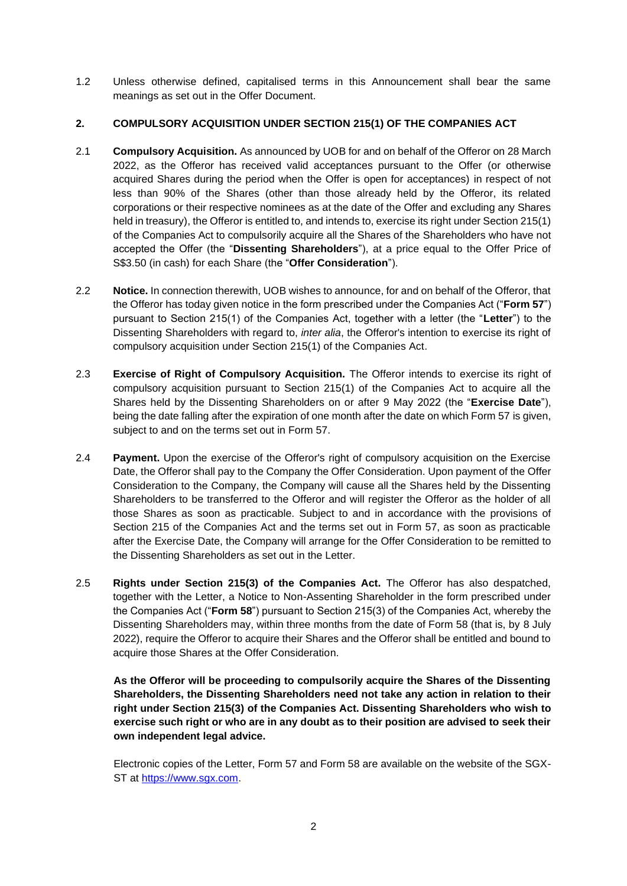1.2 Unless otherwise defined, capitalised terms in this Announcement shall bear the same meanings as set out in the Offer Document.

## **2. COMPULSORY ACQUISITION UNDER SECTION 215(1) OF THE COMPANIES ACT**

- 2.1 **Compulsory Acquisition.** As announced by UOB for and on behalf of the Offeror on 28 March 2022, as the Offeror has received valid acceptances pursuant to the Offer (or otherwise acquired Shares during the period when the Offer is open for acceptances) in respect of not less than 90% of the Shares (other than those already held by the Offeror, its related corporations or their respective nominees as at the date of the Offer and excluding any Shares held in treasury), the Offeror is entitled to, and intends to, exercise its right under Section 215(1) of the Companies Act to compulsorily acquire all the Shares of the Shareholders who have not accepted the Offer (the "**Dissenting Shareholders**"), at a price equal to the Offer Price of S\$3.50 (in cash) for each Share (the "**Offer Consideration**").
- 2.2 **Notice.** In connection therewith, UOB wishes to announce, for and on behalf of the Offeror, that the Offeror has today given notice in the form prescribed under the Companies Act ("**Form 57**") pursuant to Section 215(1) of the Companies Act, together with a letter (the "**Letter**") to the Dissenting Shareholders with regard to, *inter alia*, the Offeror's intention to exercise its right of compulsory acquisition under Section 215(1) of the Companies Act.
- 2.3 **Exercise of Right of Compulsory Acquisition.** The Offeror intends to exercise its right of compulsory acquisition pursuant to Section 215(1) of the Companies Act to acquire all the Shares held by the Dissenting Shareholders on or after 9 May 2022 (the "**Exercise Date**"), being the date falling after the expiration of one month after the date on which Form 57 is given, subject to and on the terms set out in Form 57.
- 2.4 **Payment.** Upon the exercise of the Offeror's right of compulsory acquisition on the Exercise Date, the Offeror shall pay to the Company the Offer Consideration. Upon payment of the Offer Consideration to the Company, the Company will cause all the Shares held by the Dissenting Shareholders to be transferred to the Offeror and will register the Offeror as the holder of all those Shares as soon as practicable. Subject to and in accordance with the provisions of Section 215 of the Companies Act and the terms set out in Form 57, as soon as practicable after the Exercise Date, the Company will arrange for the Offer Consideration to be remitted to the Dissenting Shareholders as set out in the Letter.
- 2.5 **Rights under Section 215(3) of the Companies Act.** The Offeror has also despatched, together with the Letter, a Notice to Non-Assenting Shareholder in the form prescribed under the Companies Act ("**Form 58**") pursuant to Section 215(3) of the Companies Act, whereby the Dissenting Shareholders may, within three months from the date of Form 58 (that is, by 8 July 2022), require the Offeror to acquire their Shares and the Offeror shall be entitled and bound to acquire those Shares at the Offer Consideration.

**As the Offeror will be proceeding to compulsorily acquire the Shares of the Dissenting Shareholders, the Dissenting Shareholders need not take any action in relation to their right under Section 215(3) of the Companies Act. Dissenting Shareholders who wish to exercise such right or who are in any doubt as to their position are advised to seek their own independent legal advice.**

Electronic copies of the Letter, Form 57 and Form 58 are available on the website of the SGX-ST at [https://www.sgx.com.](https://www.sgx.com/)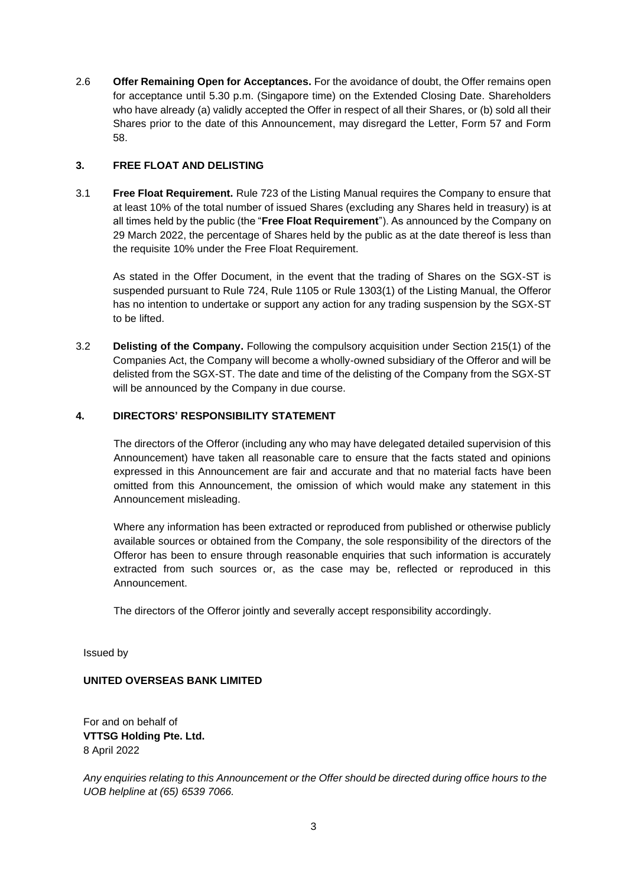2.6 **Offer Remaining Open for Acceptances.** For the avoidance of doubt, the Offer remains open for acceptance until 5.30 p.m. (Singapore time) on the Extended Closing Date. Shareholders who have already (a) validly accepted the Offer in respect of all their Shares, or (b) sold all their Shares prior to the date of this Announcement, may disregard the Letter, Form 57 and Form 58.

# **3. FREE FLOAT AND DELISTING**

3.1 **Free Float Requirement.** Rule 723 of the Listing Manual requires the Company to ensure that at least 10% of the total number of issued Shares (excluding any Shares held in treasury) is at all times held by the public (the "**Free Float Requirement**"). As announced by the Company on 29 March 2022, the percentage of Shares held by the public as at the date thereof is less than the requisite 10% under the Free Float Requirement.

As stated in the Offer Document, in the event that the trading of Shares on the SGX-ST is suspended pursuant to Rule 724, Rule 1105 or Rule 1303(1) of the Listing Manual, the Offeror has no intention to undertake or support any action for any trading suspension by the SGX-ST to be lifted.

3.2 **Delisting of the Company.** Following the compulsory acquisition under Section 215(1) of the Companies Act, the Company will become a wholly-owned subsidiary of the Offeror and will be delisted from the SGX-ST. The date and time of the delisting of the Company from the SGX-ST will be announced by the Company in due course.

# **4. DIRECTORS' RESPONSIBILITY STATEMENT**

The directors of the Offeror (including any who may have delegated detailed supervision of this Announcement) have taken all reasonable care to ensure that the facts stated and opinions expressed in this Announcement are fair and accurate and that no material facts have been omitted from this Announcement, the omission of which would make any statement in this Announcement misleading.

Where any information has been extracted or reproduced from published or otherwise publicly available sources or obtained from the Company, the sole responsibility of the directors of the Offeror has been to ensure through reasonable enquiries that such information is accurately extracted from such sources or, as the case may be, reflected or reproduced in this Announcement.

The directors of the Offeror jointly and severally accept responsibility accordingly.

Issued by

# **UNITED OVERSEAS BANK LIMITED**

For and on behalf of **VTTSG Holding Pte. Ltd.** 8 April 2022

*Any enquiries relating to this Announcement or the Offer should be directed during office hours to the UOB helpline at (65) 6539 7066.*